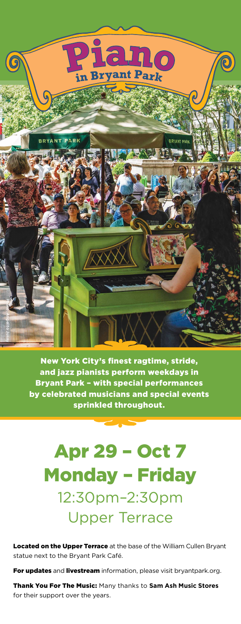

New York City's finest ragtime, stride, and jazz pianists perform weekdays in Bryant Park – with special performances by celebrated musicians and special events sprinkled throughout.

## Apr 29 – Oct 7 Monday – Friday 12:30pm–2:30pm Upper Terrace

Located on the Upper Terrace at the base of the William Cullen Bryant statue next to the Bryant Park Café.

For updates and livestream information, please visit bryantpark.org.

Thank You For The Music: Many thanks to **Sam Ash Music Stores** for their support over the years.